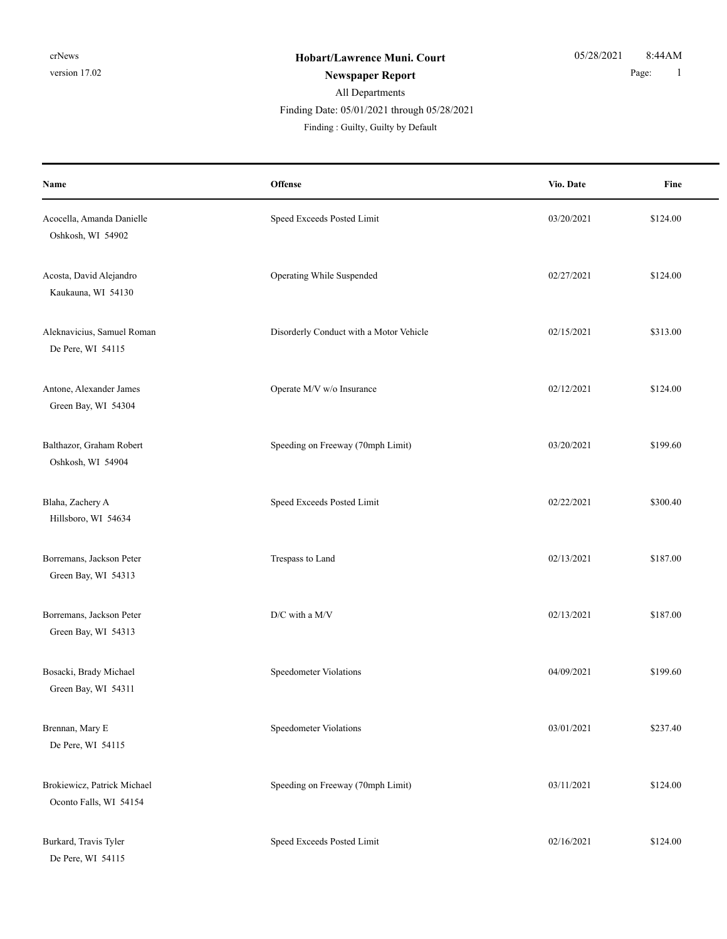#### All Departments **Newspaper Report** 1 Finding Date: 05/01/2021 through 05/28/2021

| Name                                                  | Offense                                 | Vio. Date  | Fine     |
|-------------------------------------------------------|-----------------------------------------|------------|----------|
| Acocella, Amanda Danielle<br>Oshkosh, WI 54902        | Speed Exceeds Posted Limit              | 03/20/2021 | \$124.00 |
| Acosta, David Alejandro<br>Kaukauna, WI 54130         | Operating While Suspended               | 02/27/2021 | \$124.00 |
| Aleknavicius, Samuel Roman<br>De Pere, WI 54115       | Disorderly Conduct with a Motor Vehicle | 02/15/2021 | \$313.00 |
| Antone, Alexander James<br>Green Bay, WI 54304        | Operate M/V w/o Insurance               | 02/12/2021 | \$124.00 |
| Balthazor, Graham Robert<br>Oshkosh, WI 54904         | Speeding on Freeway (70mph Limit)       | 03/20/2021 | \$199.60 |
| Blaha, Zachery A<br>Hillsboro, WI 54634               | Speed Exceeds Posted Limit              | 02/22/2021 | \$300.40 |
| Borremans, Jackson Peter<br>Green Bay, WI 54313       | Trespass to Land                        | 02/13/2021 | \$187.00 |
| Borremans, Jackson Peter<br>Green Bay, WI 54313       | D/C with a M/V                          | 02/13/2021 | \$187.00 |
| Bosacki, Brady Michael<br>Green Bay, WI 54311         | Speedometer Violations                  | 04/09/2021 | \$199.60 |
| Brennan, Mary E<br>De Pere, WI 54115                  | Speedometer Violations                  | 03/01/2021 | \$237.40 |
| Brokiewicz, Patrick Michael<br>Oconto Falls, WI 54154 | Speeding on Freeway (70mph Limit)       | 03/11/2021 | \$124.00 |
| Burkard, Travis Tyler<br>De Pere, WI 54115            | Speed Exceeds Posted Limit              | 02/16/2021 | \$124.00 |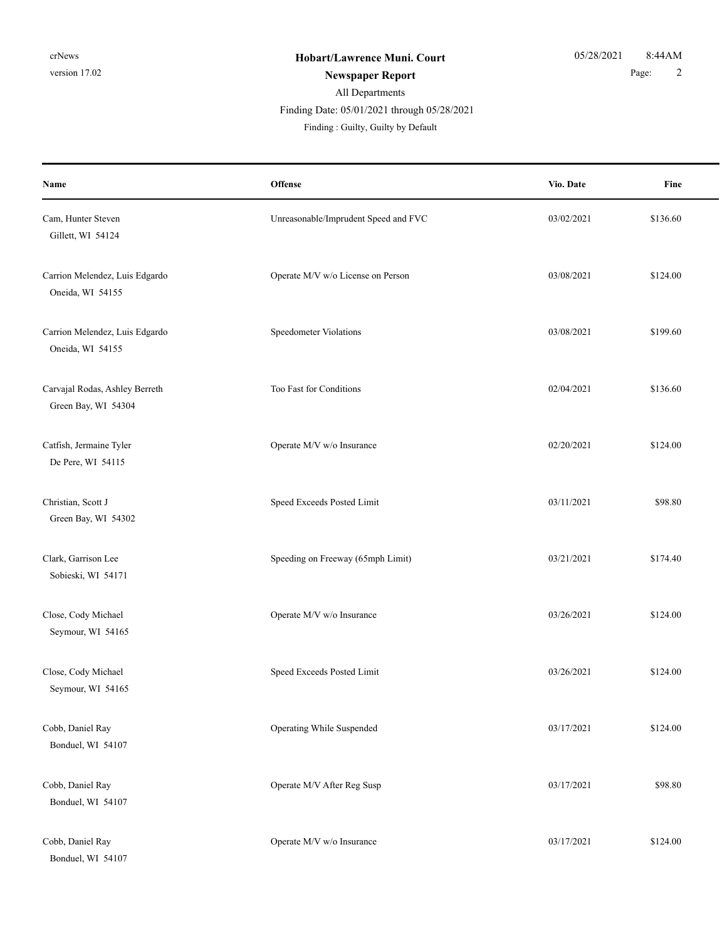## All Departments Finding Date: 05/01/2021 through 05/28/2021

| Name                                                  | Offense                              | Vio. Date  | Fine     |
|-------------------------------------------------------|--------------------------------------|------------|----------|
| Cam, Hunter Steven<br>Gillett, WI 54124               | Unreasonable/Imprudent Speed and FVC | 03/02/2021 | \$136.60 |
| Carrion Melendez, Luis Edgardo<br>Oneida, WI 54155    | Operate M/V w/o License on Person    | 03/08/2021 | \$124.00 |
| Carrion Melendez, Luis Edgardo<br>Oneida, WI 54155    | Speedometer Violations               | 03/08/2021 | \$199.60 |
| Carvajal Rodas, Ashley Berreth<br>Green Bay, WI 54304 | Too Fast for Conditions              | 02/04/2021 | \$136.60 |
| Catfish, Jermaine Tyler<br>De Pere, WI 54115          | Operate M/V w/o Insurance            | 02/20/2021 | \$124.00 |
| Christian, Scott J<br>Green Bay, WI 54302             | Speed Exceeds Posted Limit           | 03/11/2021 | \$98.80  |
| Clark, Garrison Lee<br>Sobieski, WI 54171             | Speeding on Freeway (65mph Limit)    | 03/21/2021 | \$174.40 |
| Close, Cody Michael<br>Seymour, WI 54165              | Operate M/V w/o Insurance            | 03/26/2021 | \$124.00 |
| Close, Cody Michael<br>Seymour, WI 54165              | Speed Exceeds Posted Limit           | 03/26/2021 | \$124.00 |
| Cobb, Daniel Ray<br>Bonduel, WI 54107                 | Operating While Suspended            | 03/17/2021 | \$124.00 |
| Cobb, Daniel Ray<br>Bonduel, WI 54107                 | Operate M/V After Reg Susp           | 03/17/2021 | \$98.80  |
| Cobb, Daniel Ray<br>Bonduel, WI 54107                 | Operate M/V w/o Insurance            | 03/17/2021 | \$124.00 |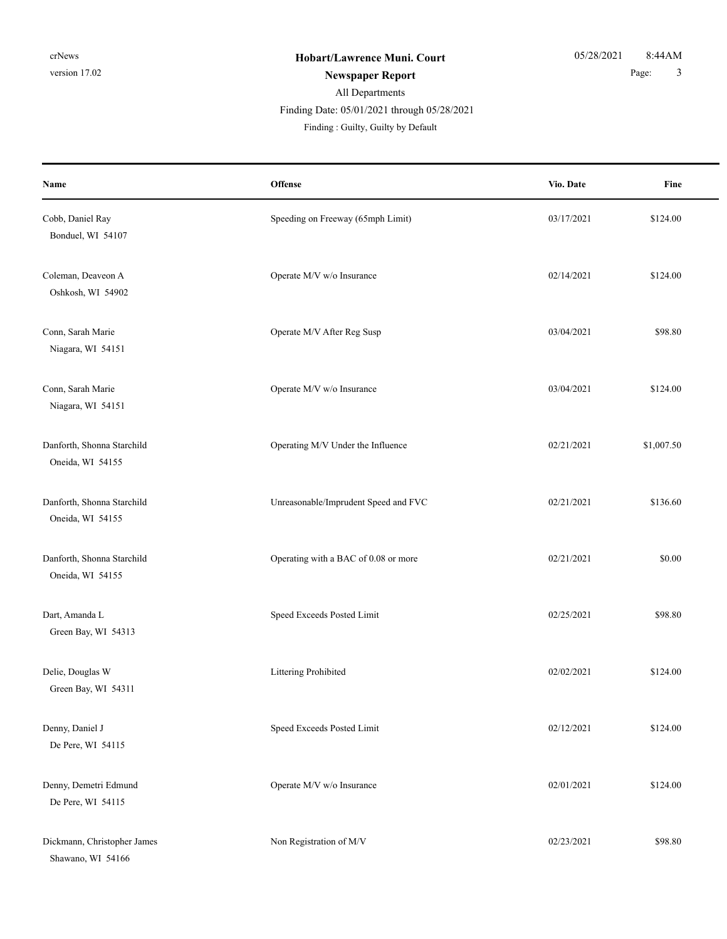# All Departments

Finding Date: 05/01/2021 through 05/28/2021

| Name                                             | <b>Offense</b>                       | Vio. Date  | Fine       |
|--------------------------------------------------|--------------------------------------|------------|------------|
| Cobb, Daniel Ray<br>Bonduel, WI 54107            | Speeding on Freeway (65mph Limit)    | 03/17/2021 | \$124.00   |
| Coleman, Deaveon A<br>Oshkosh, WI 54902          | Operate M/V w/o Insurance            | 02/14/2021 | \$124.00   |
| Conn, Sarah Marie<br>Niagara, WI 54151           | Operate M/V After Reg Susp           | 03/04/2021 | \$98.80    |
| Conn, Sarah Marie<br>Niagara, WI 54151           | Operate M/V w/o Insurance            | 03/04/2021 | \$124.00   |
| Danforth, Shonna Starchild<br>Oneida, WI 54155   | Operating M/V Under the Influence    | 02/21/2021 | \$1,007.50 |
| Danforth, Shonna Starchild<br>Oneida, WI 54155   | Unreasonable/Imprudent Speed and FVC | 02/21/2021 | \$136.60   |
| Danforth, Shonna Starchild<br>Oneida, WI 54155   | Operating with a BAC of 0.08 or more | 02/21/2021 | \$0.00     |
| Dart, Amanda L<br>Green Bay, WI 54313            | Speed Exceeds Posted Limit           | 02/25/2021 | \$98.80    |
| Delie, Douglas W<br>Green Bay, WI 54311          | Littering Prohibited                 | 02/02/2021 | \$124.00   |
| Denny, Daniel J<br>De Pere, WI 54115             | Speed Exceeds Posted Limit           | 02/12/2021 | \$124.00   |
| Denny, Demetri Edmund<br>De Pere, WI 54115       | Operate M/V w/o Insurance            | 02/01/2021 | \$124.00   |
| Dickmann, Christopher James<br>Shawano, WI 54166 | Non Registration of M/V              | 02/23/2021 | \$98.80    |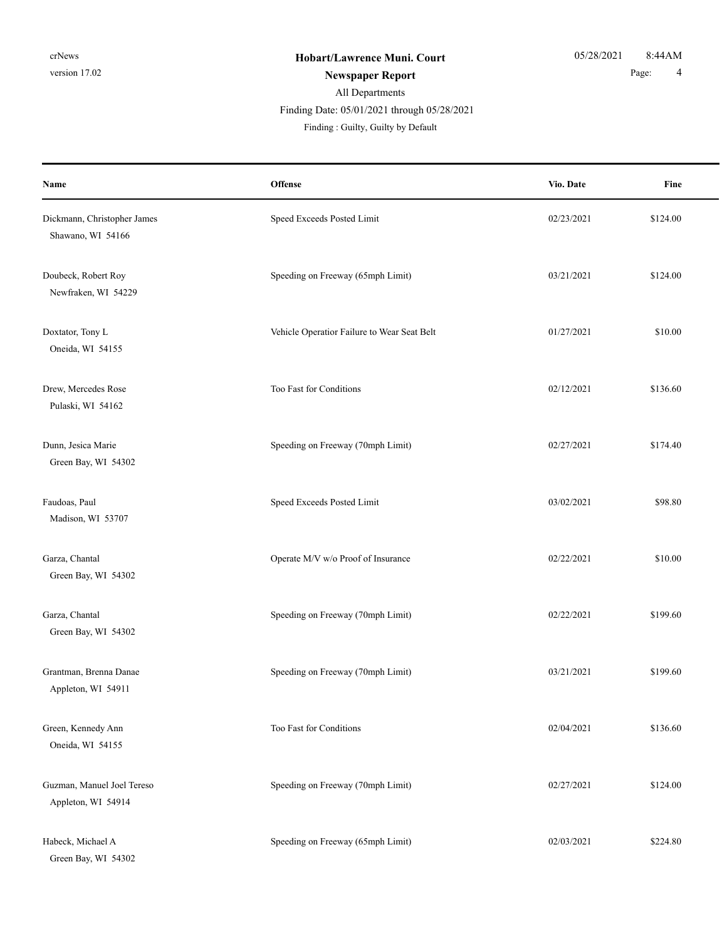#### All Departments **Newspaper Report** 2 and 2 and 2 and 2 and 2 and 2 and 2 and 2 and 2 and 2 and 2 and 2 and 2 and 2 and 2 and 2 and 2 and 2 and 2 and 2 and 2 and 2 and 2 and 2 and 2 and 2 and 2 and 2 and 2 and 2 and 2 and 2 and 2 and 2 and Finding Date: 05/01/2021 through 05/28/2021

| Name                                             | <b>Offense</b>                              | Vio. Date  | Fine     |
|--------------------------------------------------|---------------------------------------------|------------|----------|
| Dickmann, Christopher James<br>Shawano, WI 54166 | Speed Exceeds Posted Limit                  | 02/23/2021 | \$124.00 |
| Doubeck, Robert Roy<br>Newfraken, WI 54229       | Speeding on Freeway (65mph Limit)           | 03/21/2021 | \$124.00 |
| Doxtator, Tony L<br>Oneida, WI 54155             | Vehicle Operatior Failure to Wear Seat Belt | 01/27/2021 | \$10.00  |
| Drew, Mercedes Rose<br>Pulaski, WI 54162         | Too Fast for Conditions                     | 02/12/2021 | \$136.60 |
| Dunn, Jesica Marie<br>Green Bay, WI 54302        | Speeding on Freeway (70mph Limit)           | 02/27/2021 | \$174.40 |
| Faudoas, Paul<br>Madison, WI 53707               | Speed Exceeds Posted Limit                  | 03/02/2021 | \$98.80  |
| Garza, Chantal<br>Green Bay, WI 54302            | Operate M/V w/o Proof of Insurance          | 02/22/2021 | \$10.00  |
| Garza, Chantal<br>Green Bay, WI 54302            | Speeding on Freeway (70mph Limit)           | 02/22/2021 | \$199.60 |
| Grantman, Brenna Danae<br>Appleton, WI 54911     | Speeding on Freeway (70mph Limit)           | 03/21/2021 | \$199.60 |
| Green, Kennedy Ann<br>Oneida, WI 54155           | Too Fast for Conditions                     | 02/04/2021 | \$136.60 |
| Guzman, Manuel Joel Tereso<br>Appleton, WI 54914 | Speeding on Freeway (70mph Limit)           | 02/27/2021 | \$124.00 |
| Habeck, Michael A<br>Green Bay, WI 54302         | Speeding on Freeway (65mph Limit)           | 02/03/2021 | \$224.80 |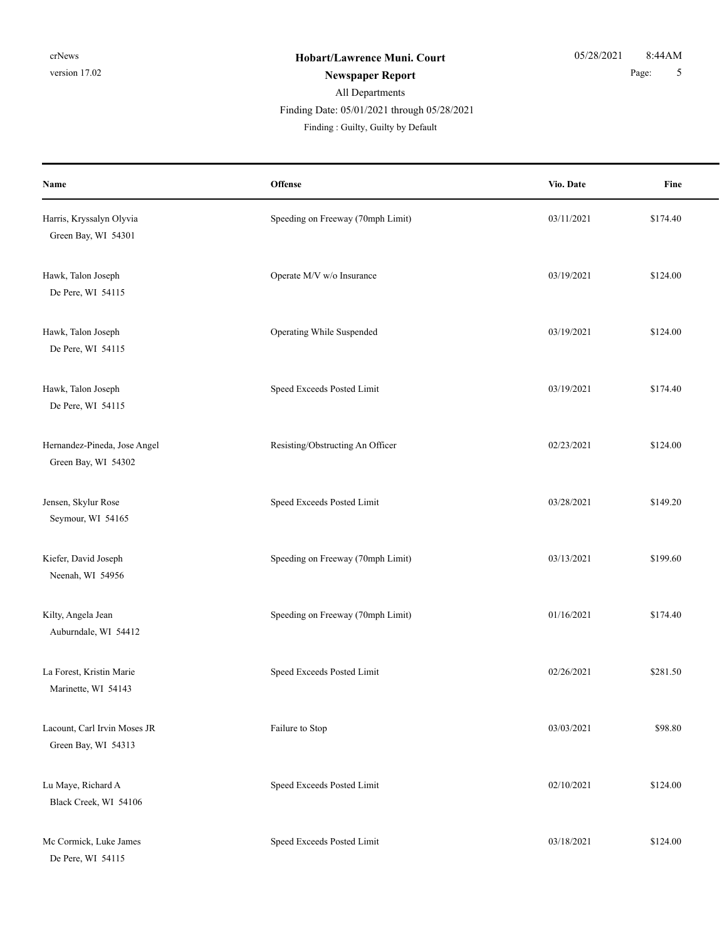#### All Departments **Newspaper Report** 5 Finding : Guilty, Guilty by Default Finding Date: 05/01/2021 through 05/28/2021

**Offense** Fine **Name Vio. Date** Harris, Kryssalyn Olyvia Speeding on Freeway (70mph Limit) 03/11/2021 \$174.40 Green Bay, WI 54301 Hawk, Talon Joseph **Operate M/V** w/o Insurance **03/19/2021** \$124.00 De Pere, WI 54115 Hawk, Talon Joseph **Operating While Suspended** 03/19/2021 \$124.00 De Pere, WI 54115 Hawk, Talon Joseph Speed Exceeds Posted Limit 03/19/2021 \$174.40 De Pere, WI 54115 Hernandez-Pineda, Jose Angel **Resisting/Obstructing An Officer** 02/23/2021 \$124.00 Green Bay, WI 54302 Jensen, Skylur Rose Speed Exceeds Posted Limit 63/28/2021 5149.20 Seymour, WI 54165 Kiefer, David Joseph Speeding on Freeway (70mph Limit) 03/13/2021 \$199.60 Neenah, WI 54956 Kilty, Angela Jean Speeding on Freeway (70mph Limit) 01/16/2021 \$174.40 Auburndale, WI 54412 La Forest, Kristin Marie 61.50 Speed Exceeds Posted Limit 62/26/2021 \$281.50 Marinette, WI 54143 Lacount, Carl Irvin Moses JR Failure to Stop 63/03/2021 \$98.80 Green Bay, WI 54313 Lu Maye, Richard A Speed Exceeds Posted Limit 02/10/2021 \$124.00 Black Creek, WI 54106 Mc Cormick, Luke James Speed Exceeds Posted Limit 03/18/2021 \$124.00 De Pere, WI 54115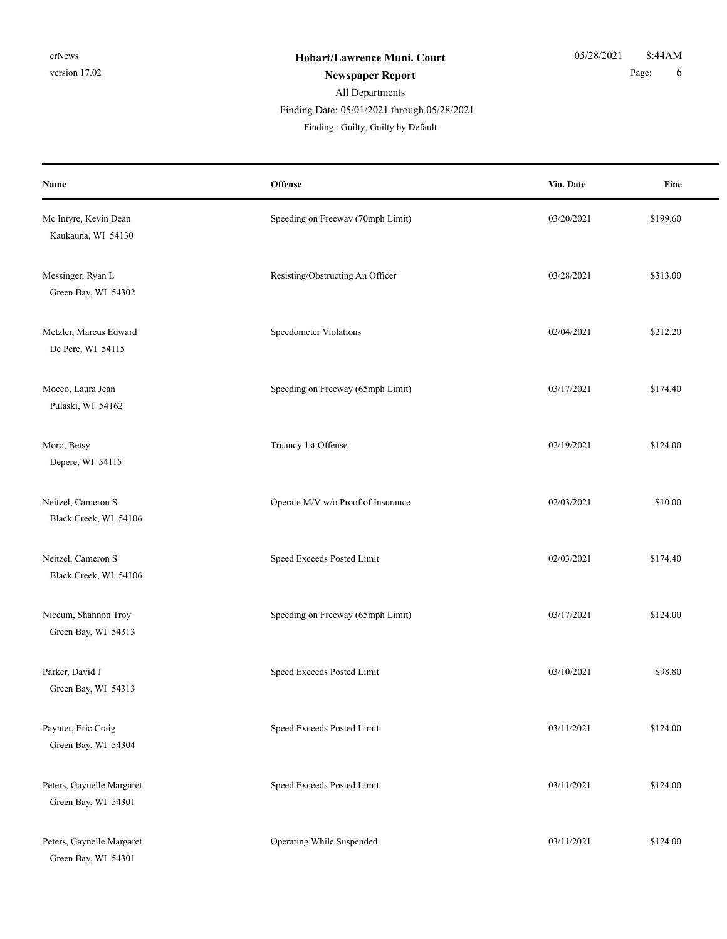## All Departments **Newspaper Report** 6 **Page:** 6 Finding Date: 05/01/2021 through 05/28/2021

| Name                                             | Offense                            | Vio. Date  | Fine     |
|--------------------------------------------------|------------------------------------|------------|----------|
| Mc Intyre, Kevin Dean<br>Kaukauna, WI 54130      | Speeding on Freeway (70mph Limit)  | 03/20/2021 | \$199.60 |
| Messinger, Ryan L<br>Green Bay, WI 54302         | Resisting/Obstructing An Officer   | 03/28/2021 | \$313.00 |
| Metzler, Marcus Edward<br>De Pere, WI 54115      | Speedometer Violations             | 02/04/2021 | \$212.20 |
| Mocco, Laura Jean<br>Pulaski, WI 54162           | Speeding on Freeway (65mph Limit)  | 03/17/2021 | \$174.40 |
| Moro, Betsy<br>Depere, WI 54115                  | Truancy 1st Offense                | 02/19/2021 | \$124.00 |
| Neitzel, Cameron S<br>Black Creek, WI 54106      | Operate M/V w/o Proof of Insurance | 02/03/2021 | \$10.00  |
| Neitzel, Cameron S<br>Black Creek, WI 54106      | Speed Exceeds Posted Limit         | 02/03/2021 | \$174.40 |
| Niccum, Shannon Troy<br>Green Bay, WI 54313      | Speeding on Freeway (65mph Limit)  | 03/17/2021 | \$124.00 |
| Parker, David J<br>Green Bay, WI 54313           | Speed Exceeds Posted Limit         | 03/10/2021 | \$98.80  |
| Paynter, Eric Craig<br>Green Bay, WI 54304       | Speed Exceeds Posted Limit         | 03/11/2021 | \$124.00 |
| Peters, Gaynelle Margaret<br>Green Bay, WI 54301 | Speed Exceeds Posted Limit         | 03/11/2021 | \$124.00 |
| Peters, Gaynelle Margaret<br>Green Bay, WI 54301 | Operating While Suspended          | 03/11/2021 | \$124.00 |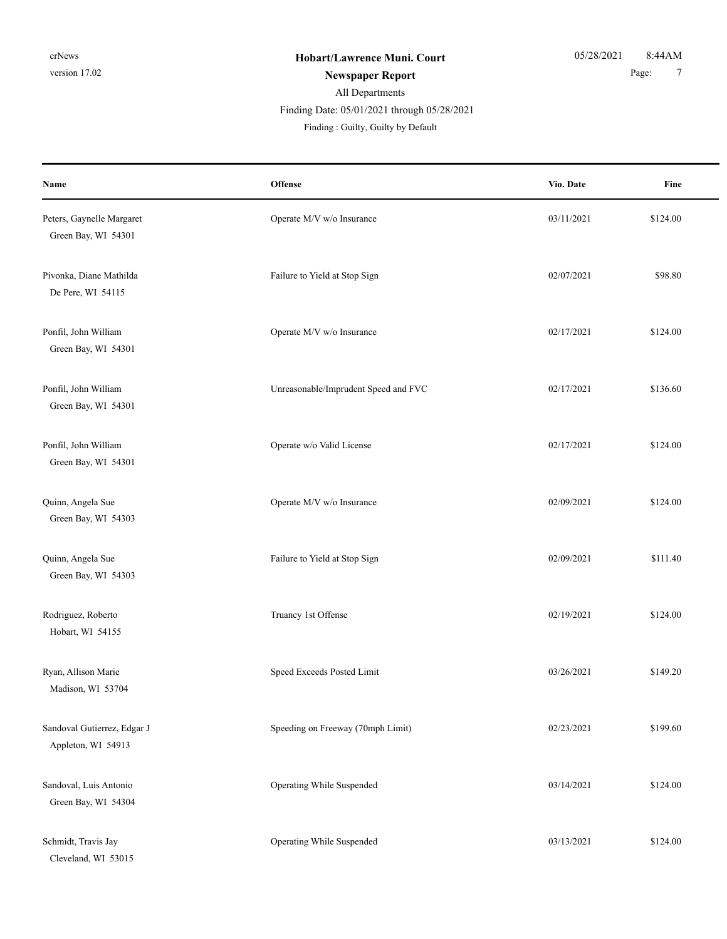### All Departments

Finding Date: 05/01/2021 through 05/28/2021

| Name                                              | Offense                              | Vio. Date  | Fine     |
|---------------------------------------------------|--------------------------------------|------------|----------|
| Peters, Gaynelle Margaret<br>Green Bay, WI 54301  | Operate M/V w/o Insurance            | 03/11/2021 | \$124.00 |
| Pivonka, Diane Mathilda<br>De Pere, WI 54115      | Failure to Yield at Stop Sign        | 02/07/2021 | \$98.80  |
| Ponfil, John William<br>Green Bay, WI 54301       | Operate M/V w/o Insurance            | 02/17/2021 | \$124.00 |
| Ponfil, John William<br>Green Bay, WI 54301       | Unreasonable/Imprudent Speed and FVC | 02/17/2021 | \$136.60 |
| Ponfil, John William<br>Green Bay, WI 54301       | Operate w/o Valid License            | 02/17/2021 | \$124.00 |
| Quinn, Angela Sue<br>Green Bay, WI 54303          | Operate M/V w/o Insurance            | 02/09/2021 | \$124.00 |
| Quinn, Angela Sue<br>Green Bay, WI 54303          | Failure to Yield at Stop Sign        | 02/09/2021 | \$111.40 |
| Rodriguez, Roberto<br>Hobart, WI 54155            | Truancy 1st Offense                  | 02/19/2021 | \$124.00 |
| Ryan, Allison Marie<br>Madison, WI 53704          | Speed Exceeds Posted Limit           | 03/26/2021 | \$149.20 |
| Sandoval Gutierrez, Edgar J<br>Appleton, WI 54913 | Speeding on Freeway (70mph Limit)    | 02/23/2021 | \$199.60 |
| Sandoval, Luis Antonio<br>Green Bay, WI 54304     | Operating While Suspended            | 03/14/2021 | \$124.00 |
| Schmidt, Travis Jay<br>Cleveland, WI 53015        | Operating While Suspended            | 03/13/2021 | \$124.00 |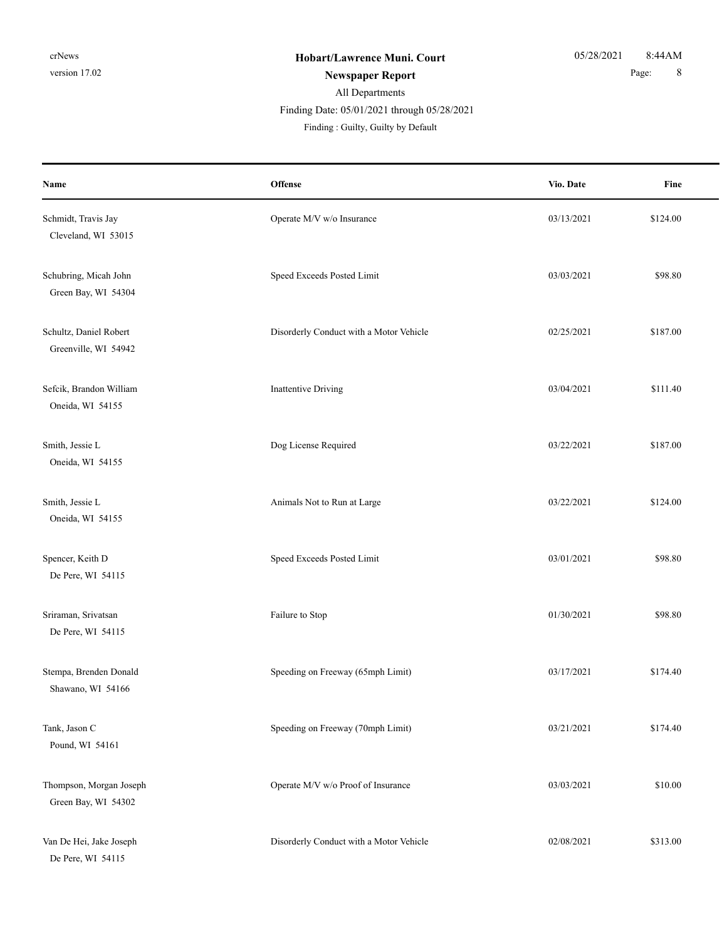#### All Departments **Newspaper Report** 8 Finding Date: 05/01/2021 through 05/28/2021

| Name                                           | Offense                                 | Vio. Date  | Fine     |
|------------------------------------------------|-----------------------------------------|------------|----------|
| Schmidt, Travis Jay<br>Cleveland, WI 53015     | Operate M/V w/o Insurance               | 03/13/2021 | \$124.00 |
| Schubring, Micah John<br>Green Bay, WI 54304   | Speed Exceeds Posted Limit              | 03/03/2021 | \$98.80  |
| Schultz, Daniel Robert<br>Greenville, WI 54942 | Disorderly Conduct with a Motor Vehicle | 02/25/2021 | \$187.00 |
| Sefcik, Brandon William<br>Oneida, WI 54155    | <b>Inattentive Driving</b>              | 03/04/2021 | \$111.40 |
| Smith, Jessie L<br>Oneida, WI 54155            | Dog License Required                    | 03/22/2021 | \$187.00 |
| Smith, Jessie L<br>Oneida, WI 54155            | Animals Not to Run at Large             | 03/22/2021 | \$124.00 |
| Spencer, Keith D<br>De Pere, WI 54115          | Speed Exceeds Posted Limit              | 03/01/2021 | \$98.80  |
| Sriraman, Srivatsan<br>De Pere, WI 54115       | Failure to Stop                         | 01/30/2021 | \$98.80  |
| Stempa, Brenden Donald<br>Shawano, WI 54166    | Speeding on Freeway (65mph Limit)       | 03/17/2021 | \$174.40 |
| Tank, Jason C<br>Pound, WI 54161               | Speeding on Freeway (70mph Limit)       | 03/21/2021 | \$174.40 |
| Thompson, Morgan Joseph<br>Green Bay, WI 54302 | Operate M/V w/o Proof of Insurance      | 03/03/2021 | \$10.00  |
| Van De Hei, Jake Joseph<br>De Pere, WI 54115   | Disorderly Conduct with a Motor Vehicle | 02/08/2021 | \$313.00 |